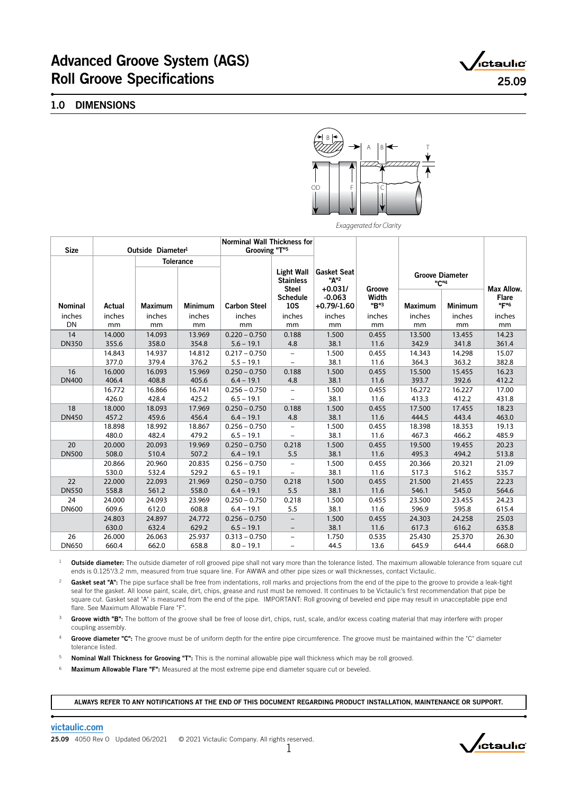# Advanced Groove System (AGS) Roll Groove Specifications 25.09

,<br>ictaulic°

### 1.0 DIMENSIONS



*Exaggerated for Clarity*

| <b>Size</b>              | Outside Diameter <sup>1</sup> |                          | <b>Norminal Wall Thickness for</b><br>Grooving "T" <sup>5</sup> |                                 |                                                       |                                         |                         |                                            |                          |                                |
|--------------------------|-------------------------------|--------------------------|-----------------------------------------------------------------|---------------------------------|-------------------------------------------------------|-----------------------------------------|-------------------------|--------------------------------------------|--------------------------|--------------------------------|
|                          |                               |                          | <b>Tolerance</b>                                                |                                 |                                                       |                                         |                         |                                            |                          |                                |
|                          |                               |                          |                                                                 |                                 | <b>Light Wall</b><br><b>Stainless</b><br><b>Steel</b> | <b>Gasket Seat</b><br>"Д"2<br>$+0.031/$ | Groove                  | <b>Groove Diameter</b><br>"C" <sup>4</sup> |                          | Max Allow.                     |
| <b>Nominal</b><br>inches | Actual<br>inches              | <b>Maximum</b><br>inches | <b>Minimum</b><br>inches                                        | <b>Carbon Steel</b><br>inches   | <b>Schedule</b><br><b>10S</b><br>inches               | $-0.063$<br>$+0.79/-1.60$<br>inches     | Width<br>"B"3<br>inches | <b>Maximum</b><br>inches                   | <b>Minimum</b><br>inches | <b>Flare</b><br>"F"6<br>inches |
| <b>DN</b>                | mm                            | mm                       | mm                                                              | mm                              | mm                                                    | mm                                      | mm                      | mm                                         | mm                       | mm                             |
| 14<br><b>DN350</b>       | 14.000<br>355.6               | 14.093<br>358.0          | 13.969<br>354.8                                                 | $0.220 - 0.750$<br>$5.6 - 19.1$ | 0.188<br>4.8                                          | 1.500<br>38.1                           | 0.455<br>11.6           | 13.500<br>342.9                            | 13.455<br>341.8          | 14.23<br>361.4                 |
|                          | 14.843<br>377.0               | 14.937<br>379.4          | 14.812<br>376.2                                                 | $0.217 - 0.750$<br>$5.5 - 19.1$ |                                                       | 1.500<br>38.1                           | 0.455<br>11.6           | 14.343<br>364.3                            | 14.298<br>363.2          | 15.07<br>382.8                 |
| 16<br><b>DN400</b>       | 16.000<br>406.4               | 16.093<br>408.8          | 15.969<br>405.6                                                 | $0.250 - 0.750$<br>$6.4 - 19.1$ | 0.188<br>4.8                                          | 1.500<br>38.1                           | 0.455<br>11.6           | 15.500<br>393.7                            | 15.455<br>392.6          | 16.23<br>412.2                 |
|                          | 16.772<br>426.0               | 16.866<br>428.4          | 16.741<br>425.2                                                 | $0.256 - 0.750$<br>$6.5 - 19.1$ |                                                       | 1.500<br>38.1                           | 0.455<br>11.6           | 16.272<br>413.3                            | 16.227<br>412.2          | 17.00<br>431.8                 |
| 18<br><b>DN450</b>       | 18.000<br>457.2               | 18.093<br>459.6          | 17.969<br>456.4                                                 | $0.250 - 0.750$<br>$6.4 - 19.1$ | 0.188<br>4.8                                          | 1.500<br>38.1                           | 0.455<br>11.6           | 17.500<br>444.5                            | 17.455<br>443.4          | 18.23<br>463.0                 |
|                          | 18.898<br>480.0               | 18.992<br>482.4          | 18.867<br>479.2                                                 | $0.256 - 0.750$<br>$6.5 - 19.1$ | $\qquad \qquad -$                                     | 1.500<br>38.1                           | 0.455<br>11.6           | 18.398<br>467.3                            | 18.353<br>466.2          | 19.13<br>485.9                 |
| 20<br><b>DN500</b>       | 20.000<br>508.0               | 20.093<br>510.4          | 19.969<br>507.2                                                 | $0.250 - 0.750$<br>$6.4 - 19.1$ | 0.218<br>5.5                                          | 1.500<br>38.1                           | 0.455<br>11.6           | 19.500<br>495.3                            | 19.455<br>494.2          | 20.23<br>513.8                 |
|                          | 20.866<br>530.0               | 20.960<br>532.4          | 20.835<br>529.2                                                 | $0.256 - 0.750$<br>$6.5 - 19.1$ |                                                       | 1.500<br>38.1                           | 0.455<br>11.6           | 20.366<br>517.3                            | 20.321<br>516.2          | 21.09<br>535.7                 |
| 22<br><b>DN550</b>       | 22.000<br>558.8               | 22.093<br>561.2          | 21.969<br>558.0                                                 | $0.250 - 0.750$<br>$6.4 - 19.1$ | 0.218<br>5.5                                          | 1.500<br>38.1                           | 0.455<br>11.6           | 21.500<br>546.1                            | 21.455<br>545.0          | 22.23<br>564.6                 |
| 24<br><b>DN600</b>       | 24.000<br>609.6               | 24.093<br>612.0          | 23.969<br>608.8                                                 | $0.250 - 0.750$<br>$6.4 - 19.1$ | 0.218<br>5.5                                          | 1.500<br>38.1                           | 0.455<br>11.6           | 23.500<br>596.9                            | 23.455<br>595.8          | 24.23<br>615.4                 |
|                          | 24.803<br>630.0               | 24.897<br>632.4          | 24.772<br>629.2                                                 | $0.256 - 0.750$<br>$6.5 - 19.1$ | $\qquad \qquad -$                                     | 1.500<br>38.1                           | 0.455<br>11.6           | 24.303<br>617.3                            | 24.258<br>616.2          | 25.03<br>635.8                 |
| 26<br><b>DN650</b>       | 26.000<br>660.4               | 26.063<br>662.0          | 25.937<br>658.8                                                 | $0.313 - 0.750$<br>$8.0 - 19.1$ | -<br>$\qquad \qquad -$                                | 1.750<br>44.5                           | 0.535<br>13.6           | 25.430<br>645.9                            | 25.370<br>644.4          | 26.30<br>668.0                 |

<sup>1</sup> Outside diameter: The outside diameter of roll grooved pipe shall not vary more than the tolerance listed. The maximum allowable tolerance from square cut ends is 0.125"/3.2 mm, measured from true square line. For AWWA and other pipe sizes or wall thicknesses, contact Victaulic.

<sup>2</sup> Gasket seat "A": The pipe surface shall be free from indentations, roll marks and projections from the end of the pipe to the groove to provide a leak-tight seal for the gasket. All loose paint, scale, dirt, chips, grease and rust must be removed. It continues to be Victaulic's first recommendation that pipe be square cut. Gasket seat "A" is measured from the end of the pipe. IMPORTANT: Roll grooving of beveled end pipe may result in unacceptable pipe end flare. See Maximum Allowable Flare "F".

Groove width "B": The bottom of the groove shall be free of loose dirt, chips, rust, scale, and/or excess coating material that may interfere with proper coupling assembly.

4 Groove diameter "C": The groove must be of uniform depth for the entire pipe circumference. The groove must be maintained within the "C" diameter tolerance listed.

Nominal Wall Thickness for Grooving "T": This is the nominal allowable pipe wall thickness which may be roll grooved.

<sup>6</sup> Maximum Allowable Flare "F": Measured at the most extreme pipe end diameter square cut or beveled.

ALWAYS REFER TO ANY NOTIFICATIONS AT THE END OF THIS DOCUMENT REGARDING PRODUCT INSTALLATION, MAINTENANCE OR SUPPORT.

[victaulic.com](http://www.victaulic.com)

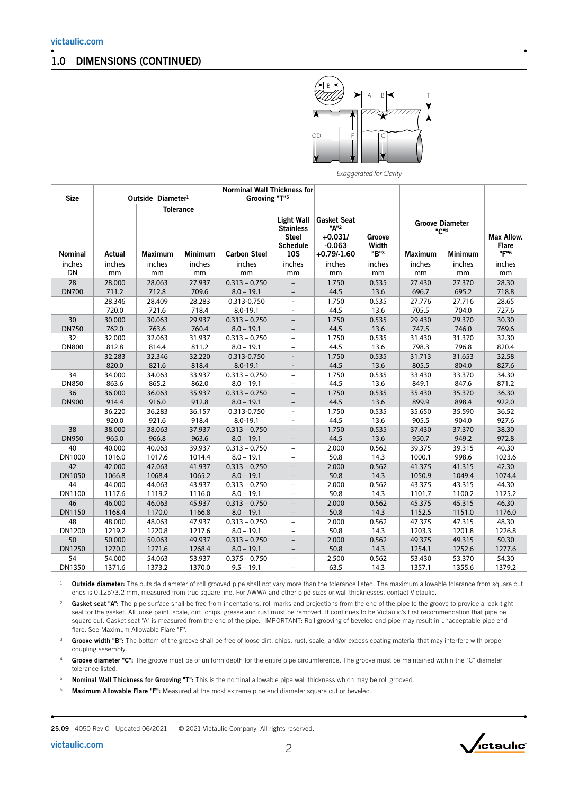### 1.0 DIMENSIONS (CONTINUED)



*Exaggerated for Clarity*

| <b>Size</b>    |        | Outside Diameter <sup>1</sup> |                  | <b>Norminal Wall Thickness for</b><br>Grooving "T" <sup>5</sup> |                                               |                                        |                         |                                            |                |                                    |
|----------------|--------|-------------------------------|------------------|-----------------------------------------------------------------|-----------------------------------------------|----------------------------------------|-------------------------|--------------------------------------------|----------------|------------------------------------|
|                |        |                               | <b>Tolerance</b> |                                                                 | <b>Light Wall</b><br><b>Stainless</b>         | <b>Gasket Seat</b><br>"A" <sup>2</sup> |                         | <b>Groove Diameter</b><br>"C" <sup>4</sup> |                |                                    |
| <b>Nominal</b> | Actual | <b>Maximum</b>                | <b>Minimum</b>   | <b>Carbon Steel</b>                                             | <b>Steel</b><br><b>Schedule</b><br><b>10S</b> | $+0.031/$<br>$-0.063$<br>$+0.79/-1.60$ | Groove<br>Width<br>"B"3 | <b>Maximum</b>                             | <b>Minimum</b> | Max Allow.<br><b>Flare</b><br>"F"6 |
| inches         | inches | inches                        | inches           | inches                                                          | inches                                        | inches                                 | inches                  | inches                                     | inches         | inches                             |
| <b>DN</b>      | mm     | mm                            | mm               | mm                                                              | mm                                            | mm                                     | mm                      | mm                                         | mm             | mm                                 |
| 28             | 28.000 | 28.063                        | 27.937           | $0.313 - 0.750$                                                 |                                               | 1.750                                  | 0.535                   | 27.430                                     | 27.370         | 28.30                              |
| <b>DN700</b>   | 711.2  | 712.8                         | 709.6            | $8.0 - 19.1$                                                    |                                               | 44.5                                   | 13.6                    | 696.7                                      | 695.2          | 718.8                              |
|                | 28.346 | 28.409                        | 28.283           | 0.313-0.750                                                     | $\overline{\phantom{a}}$                      | 1.750                                  | 0.535                   | 27.776                                     | 27.716         | 28.65                              |
|                | 720.0  | 721.6                         | 718.4            | $8.0 - 19.1$                                                    |                                               | 44.5                                   | 13.6                    | 705.5                                      | 704.0          | 727.6                              |
| 30             | 30.000 | 30.063                        | 29.937           | $0.313 - 0.750$                                                 |                                               | 1.750                                  | 0.535                   | 29.430                                     | 29.370         | 30.30                              |
| <b>DN750</b>   | 762.0  | 763.6                         | 760.4            | $8.0 - 19.1$                                                    |                                               | 44.5                                   | 13.6                    | 747.5                                      | 746.0          | 769.6                              |
| 32             | 32.000 | 32.063                        | 31.937           | $0.313 - 0.750$                                                 | $\overline{\phantom{0}}$                      | 1.750                                  | 0.535                   | 31.430                                     | 31.370         | 32.30                              |
| <b>DN800</b>   | 812.8  | 814.4                         | 811.2            | $8.0 - 19.1$                                                    | $\overline{\phantom{0}}$                      | 44.5                                   | 13.6                    | 798.3                                      | 796.8          | 820.4                              |
|                | 32.283 | 32.346                        | 32.220           | 0.313-0.750                                                     |                                               | 1.750                                  | 0.535                   | 31.713                                     | 31.653         | 32.58                              |
|                | 820.0  | 821.6                         | 818.4            | $8.0 - 19.1$                                                    |                                               | 44.5                                   | 13.6                    | 805.5                                      | 804.0          | 827.6                              |
| 34             | 34.000 | 34.063                        | 33.937           | $0.313 - 0.750$                                                 | $\overline{\phantom{0}}$                      | 1.750                                  | 0.535                   | 33.430                                     | 33.370         | 34.30                              |
| <b>DN850</b>   | 863.6  | 865.2                         | 862.0            | $8.0 - 19.1$                                                    | $\overline{\phantom{m}}$                      | 44.5                                   | 13.6                    | 849.1                                      | 847.6          | 871.2                              |
| 36             | 36.000 | 36.063                        | 35.937           | $0.313 - 0.750$                                                 |                                               | 1.750                                  | 0.535                   | 35.430                                     | 35.370         | 36.30                              |
| <b>DN900</b>   | 914.4  | 916.0                         | 912.8            | $8.0 - 19.1$                                                    | $\overline{\phantom{a}}$                      | 44.5                                   | 13.6                    | 899.9                                      | 898.4          | 922.0                              |
|                | 36.220 | 36.283                        | 36.157           | 0.313-0.750                                                     |                                               | 1.750                                  | 0.535                   | 35.650                                     | 35.590         | 36.52                              |
|                | 920.0  | 921.6                         | 918.4            | $8.0 - 19.1$                                                    | $\overline{\phantom{a}}$                      | 44.5                                   | 13.6                    | 905.5                                      | 904.0          | 927.6                              |
| 38             | 38.000 | 38.063                        | 37.937           | $0.313 - 0.750$                                                 |                                               | 1.750                                  | 0.535                   | 37.430                                     | 37.370         | 38.30                              |
| <b>DN950</b>   | 965.0  | 966.8                         | 963.6            | $8.0 - 19.1$                                                    |                                               | 44.5                                   | 13.6                    | 950.7                                      | 949.2          | 972.8                              |
| 40             | 40.000 | 40.063                        | 39.937           | $0.313 - 0.750$                                                 | $\equiv$                                      | 2.000                                  | 0.562                   | 39.375                                     | 39.315         | 40.30                              |
| DN1000         | 1016.0 | 1017.6                        | 1014.4           | $8.0 - 19.1$                                                    | $\overline{\phantom{0}}$                      | 50.8                                   | 14.3                    | 1000.1                                     | 998.6          | 1023.6                             |
| 42             | 42.000 | 42.063                        | 41.937           | $0.313 - 0.750$                                                 | $\qquad \qquad -$                             | 2.000                                  | 0.562                   | 41.375                                     | 41.315         | 42.30                              |
| <b>DN1050</b>  | 1066.8 | 1068.4                        | 1065.2           | $8.0 - 19.1$                                                    | $\overline{\phantom{0}}$                      | 50.8                                   | 14.3                    | 1050.9                                     | 1049.4         | 1074.4                             |
| 44             | 44.000 | 44.063                        | 43.937           | $0.313 - 0.750$                                                 | $\qquad \qquad -$                             | 2.000                                  | 0.562                   | 43.375                                     | 43.315         | 44.30                              |
| DN1100         | 1117.6 | 1119.2                        | 1116.0           | $8.0 - 19.1$                                                    | $\overline{\phantom{0}}$                      | 50.8                                   | 14.3                    | 1101.7                                     | 1100.2         | 1125.2                             |
| 46             | 46.000 | 46.063                        | 45.937           | $0.313 - 0.750$                                                 |                                               | 2.000                                  | 0.562                   | 45.375                                     | 45.315         | 46.30                              |
| <b>DN1150</b>  | 1168.4 | 1170.0                        | 1166.8           | $8.0 - 19.1$                                                    | $\overline{\phantom{m}}$                      | 50.8                                   | 14.3                    | 1152.5                                     | 1151.0         | 1176.0                             |
| 48             | 48.000 | 48.063                        | 47.937           | $0.313 - 0.750$                                                 | $\overline{\phantom{m}}$                      | 2.000                                  | 0.562                   | 47.375                                     | 47.315         | 48.30                              |
| DN1200         | 1219.2 | 1220.8                        | 1217.6           | $8.0 - 19.1$                                                    | $\equiv$                                      | 50.8                                   | 14.3                    | 1203.3                                     | 1201.8         | 1226.8                             |
| 50             | 50.000 | 50.063                        | 49.937           | $0.313 - 0.750$                                                 | $\qquad \qquad -$                             | 2.000                                  | 0.562                   | 49.375                                     | 49.315         | 50.30                              |
| <b>DN1250</b>  | 1270.0 | 1271.6                        | 1268.4           | $8.0 - 19.1$                                                    | $\overline{\phantom{a}}$                      | 50.8                                   | 14.3                    | 1254.1                                     | 1252.6         | 1277.6                             |
| 54             | 54.000 | 54.063                        | 53.937           | $0.375 - 0.750$                                                 | -                                             | 2.500                                  | 0.562                   | 53.430                                     | 53.370         | 54.30                              |
| DN1350         | 1371.6 | 1373.2                        | 1370.0           | $9.5 - 19.1$                                                    | L.                                            | 63.5                                   | 14.3                    | 1357.1                                     | 1355.6         | 1379.2                             |

<sup>1</sup> Outside diameter: The outside diameter of roll grooved pipe shall not vary more than the tolerance listed. The maximum allowable tolerance from square cut ends is 0.125"/3.2 mm, measured from true square line. For AWWA and other pipe sizes or wall thicknesses, contact Victaulic.

<sup>2</sup> Gasket seat "A": The pipe surface shall be free from indentations, roll marks and projections from the end of the pipe to the groove to provide a leak-tight seal for the gasket. All loose paint, scale, dirt, chips, grease and rust must be removed. It continues to be Victaulic's first recommendation that pipe be square cut. Gasket seat "A" is measured from the end of the pipe. IMPORTANT: Roll grooving of beveled end pipe may result in unacceptable pipe end flare. See Maximum Allowable Flare "F".

<sup>3</sup> Groove width "B": The bottom of the groove shall be free of loose dirt, chips, rust, scale, and/or excess coating material that may interfere with proper coupling assembly.

4 Groove diameter "C": The groove must be of uniform depth for the entire pipe circumference. The groove must be maintained within the "C" diameter tolerance listed.

<sup>5</sup> Nominal Wall Thickness for Grooving "T": This is the nominal allowable pipe wall thickness which may be roll grooved.

<sup>6</sup> Maximum Allowable Flare "F": Measured at the most extreme pipe end diameter square cut or beveled.

25.09 4050 Rev O Updated 06/2021 © 2021 Victaulic Company. All rights reserved.



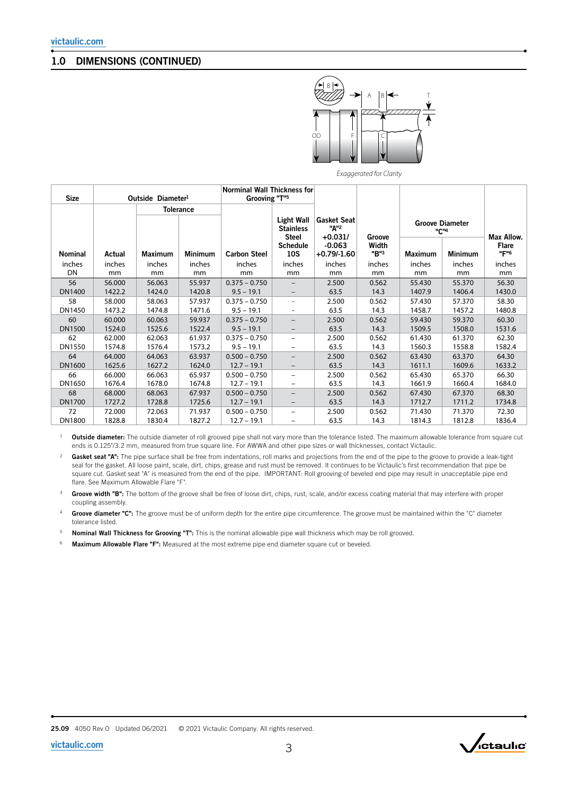### 1.0 DIMENSIONS (CONTINUED)



*Exaggerated for Clarity*

| <b>Size</b>   | Outside Diameter <sup>1</sup> |                | <b>Norminal Wall Thickness for</b><br>Grooving "T" <sup>5</sup> |                     |                                                |                                                     |               |                                            |                |                      |
|---------------|-------------------------------|----------------|-----------------------------------------------------------------|---------------------|------------------------------------------------|-----------------------------------------------------|---------------|--------------------------------------------|----------------|----------------------|
|               |                               |                | <b>Tolerance</b>                                                |                     |                                                |                                                     |               |                                            |                |                      |
|               |                               |                |                                                                 |                     | Light Wall<br><b>Stainless</b><br><b>Steel</b> | <b>Gasket Seat</b><br>"A" <sup>2</sup><br>$+0.031/$ | Groove        | <b>Groove Diameter</b><br>"C" <sup>4</sup> |                | Max Allow.           |
| Nominal       | Actual                        | <b>Maximum</b> | <b>Minimum</b>                                                  | <b>Carbon Steel</b> | <b>Schedule</b><br><b>10S</b>                  | $-0.063$<br>$+0.79/-1.60$                           | Width<br>"B"3 | Maximum                                    | <b>Minimum</b> | <b>Flare</b><br>"F"6 |
| inches        | inches                        | inches         | inches                                                          | inches              | inches                                         | inches                                              | inches        | inches                                     | inches         | inches               |
| DN            | mm                            | mm             | mm                                                              | mm                  | mm                                             | mm                                                  | mm            | mm                                         | mm             | mm                   |
| 56            | 56.000                        | 56.063         | 55.937                                                          | $0.375 - 0.750$     |                                                | 2.500                                               | 0.562         | 55.430                                     | 55.370         | 56.30                |
| DN1400        | 1422.2                        | 1424.0         | 1420.8                                                          | $9.5 - 19.1$        | $\qquad \qquad -$                              | 63.5                                                | 14.3          | 1407.9                                     | 1406.4         | 1430.0               |
| 58            | 58.000                        | 58.063         | 57.937                                                          | $0.375 - 0.750$     | $\overline{\phantom{0}}$                       | 2.500                                               | 0.562         | 57.430                                     | 57.370         | 58.30                |
| DN1450        | 1473.2                        | 1474.8         | 1471.6                                                          | $9.5 - 19.1$        |                                                | 63.5                                                | 14.3          | 1458.7                                     | 1457.2         | 1480.8               |
| 60            | 60.000                        | 60.063         | 59.937                                                          | $0.375 - 0.750$     |                                                | 2.500                                               | 0.562         | 59.430                                     | 59.370         | 60.30                |
| DN1500        | 1524.0                        | 1525.6         | 1522.4                                                          | $9.5 - 19.1$        |                                                | 63.5                                                | 14.3          | 1509.5                                     | 1508.0         | 1531.6               |
| 62            | 62.000                        | 62.063         | 61.937                                                          | $0.375 - 0.750$     | $\overline{\phantom{0}}$                       | 2.500                                               | 0.562         | 61.430                                     | 61.370         | 62.30                |
| DN1550        | 1574.8                        | 1576.4         | 1573.2                                                          | $9.5 - 19.1$        |                                                | 63.5                                                | 14.3          | 1560.3                                     | 1558.8         | 1582.4               |
| 64            | 64.000                        | 64.063         | 63.937                                                          | $0.500 - 0.750$     | $\qquad \qquad -$                              | 2.500                                               | 0.562         | 63.430                                     | 63.370         | 64.30                |
| DN1600        | 1625.6                        | 1627.2         | 1624.0                                                          | $12.7 - 19.1$       | -                                              | 63.5                                                | 14.3          | 1611.1                                     | 1609.6         | 1633.2               |
| 66            | 66.000                        | 66.063         | 65.937                                                          | $0.500 - 0.750$     | -                                              | 2.500                                               | 0.562         | 65.430                                     | 65.370         | 66.30                |
| DN1650        | 1676.4                        | 1678.0         | 1674.8                                                          | $12.7 - 19.1$       |                                                | 63.5                                                | 14.3          | 1661.9                                     | 1660.4         | 1684.0               |
| 68            | 68.000                        | 68.063         | 67.937                                                          | $0.500 - 0.750$     | $\qquad \qquad -$                              | 2.500                                               | 0.562         | 67.430                                     | 67.370         | 68.30                |
| <b>DN1700</b> | 1727.2                        | 1728.8         | 1725.6                                                          | $12.7 - 19.1$       |                                                | 63.5                                                | 14.3          | 1712.7                                     | 1711.2         | 1734.8               |
| 72            | 72.000                        | 72.063         | 71.937                                                          | $0.500 - 0.750$     | $\overline{\phantom{0}}$                       | 2.500                                               | 0.562         | 71.430                                     | 71.370         | 72.30                |
| DN1800        | 1828.8                        | 1830.4         | 1827.2                                                          | $12.7 - 19.1$       | -                                              | 63.5                                                | 14.3          | 1814.3                                     | 1812.8         | 1836.4               |

<sup>1</sup> Outside diameter: The outside diameter of roll grooved pipe shall not vary more than the tolerance listed. The maximum allowable tolerance from square cut ends is 0.125"/3.2 mm, measured from true square line. For AWWA and other pipe sizes or wall thicknesses, contact Victaulic.

<sup>2</sup> Gasket seat "A": The pipe surface shall be free from indentations, roll marks and projections from the end of the pipe to the groove to provide a leak-tight seal for the gasket. All loose paint, scale, dirt, chips, grease and rust must be removed. It continues to be Victaulic's first recommendation that pipe be square cut. Gasket seat "A" is measured from the end of the pipe. IMPORTANT: Roll grooving of beveled end pipe may result in unacceptable pipe end flare. See Maximum Allowable Flare "F".

<sup>3</sup> Groove width "B": The bottom of the groove shall be free of loose dirt, chips, rust, scale, and/or excess coating material that may interfere with proper coupling assembly.

4 Groove diameter "C": The groove must be of uniform depth for the entire pipe circumference. The groove must be maintained within the "C" diameter tolerance listed.

<sup>5</sup> Nominal Wall Thickness for Grooving "T": This is the nominal allowable pipe wall thickness which may be roll grooved.

<sup>6</sup> Maximum Allowable Flare "F": Measured at the most extreme pipe end diameter square cut or beveled.



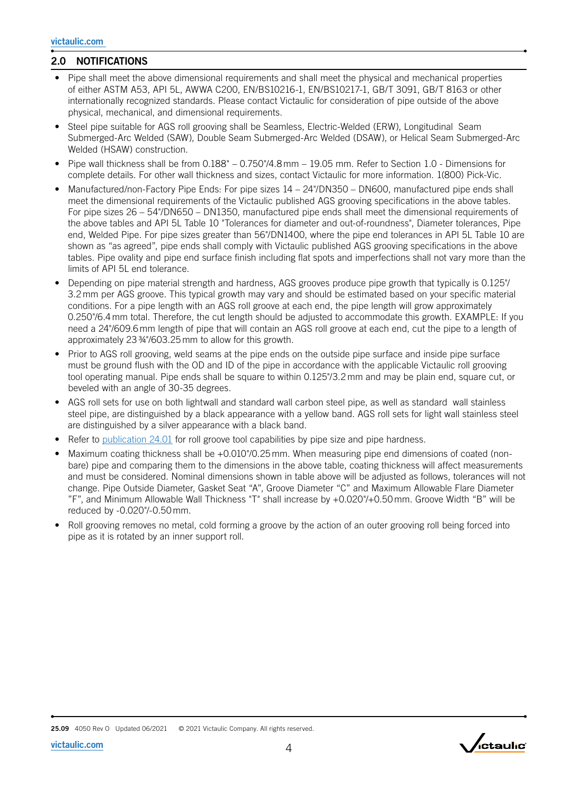## 2.0 NOTIFICATIONS

- Pipe shall meet the above dimensional requirements and shall meet the physical and mechanical properties of either ASTM A53, API 5L, AWWA C200, EN/BS10216-1, EN/BS10217-1, GB/T 3091, GB/T 8163 or other internationally recognized standards. Please contact Victaulic for consideration of pipe outside of the above physical, mechanical, and dimensional requirements.
- Steel pipe suitable for AGS roll grooving shall be Seamless, Electric-Welded (ERW), Longitudinal Seam Submerged-Arc Welded (SAW), Double Seam Submerged-Arc Welded (DSAW), or Helical Seam Submerged-Arc Welded (HSAW) construction.
- Pipe wall thickness shall be from 0.188" 0.750"/4.8 mm 19.05 mm. Refer to Section 1.0 Dimensions for complete details. For other wall thickness and sizes, contact Victaulic for more information. 1(800) Pick-Vic.
- Manufactured/non-Factory Pipe Ends: For pipe sizes 14 24"/DN350 DN600, manufactured pipe ends shall meet the dimensional requirements of the Victaulic published AGS grooving specifications in the above tables. For pipe sizes 26 – 54"/DN650 – DN1350, manufactured pipe ends shall meet the dimensional requirements of the above tables and API 5L Table 10 "Tolerances for diameter and out-of-roundness", Diameter tolerances, Pipe end, Welded Pipe. For pipe sizes greater than 56"/DN1400, where the pipe end tolerances in API 5L Table 10 are shown as "as agreed", pipe ends shall comply with Victaulic published AGS grooving specifications in the above tables. Pipe ovality and pipe end surface finish including flat spots and imperfections shall not vary more than the limits of API 5L end tolerance.
- Depending on pipe material strength and hardness, AGS grooves produce pipe growth that typically is 0.125"/ 3.2 mm per AGS groove. This typical growth may vary and should be estimated based on your specific material conditions. For a pipe length with an AGS roll groove at each end, the pipe length will grow approximately 0.250"/6.4 mm total. Therefore, the cut length should be adjusted to accommodate this growth. EXAMPLE: If you need a 24"/609.6 mm length of pipe that will contain an AGS roll groove at each end, cut the pipe to a length of approximately 23 ¾"/603.25 mm to allow for this growth.
- Prior to AGS roll grooving, weld seams at the pipe ends on the outside pipe surface and inside pipe surface must be ground flush with the OD and ID of the pipe in accordance with the applicable Victaulic roll grooving tool operating manual. Pipe ends shall be square to within 0.125"/3.2 mm and may be plain end, square cut, or beveled with an angle of 30-35 degrees.
- AGS roll sets for use on both lightwall and standard wall carbon steel pipe, as well as standard wall stainless steel pipe, are distinguished by a black appearance with a yellow band. AGS roll sets for light wall stainless steel are distinguished by a silver appearance with a black band.
- Refer to p[ublication 24.01](http://static.victaulic.com/assets/uploads/literature/24.01.PDF) for roll groove tool capabilities by pipe size and pipe hardness.
- Maximum coating thickness shall be +0.010"/0.25 mm. When measuring pipe end dimensions of coated (nonbare) pipe and comparing them to the dimensions in the above table, coating thickness will affect measurements and must be considered. Nominal dimensions shown in table above will be adjusted as follows, tolerances will not change. Pipe Outside Diameter, Gasket Seat "A", Groove Diameter "C" and Maximum Allowable Flare Diameter "F", and Minimum Allowable Wall Thickness "T" shall increase by +0.020"/+0.50 mm. Groove Width "B" will be reduced by -0.020"/-0.50 mm.
- Roll grooving removes no metal, cold forming a groove by the action of an outer grooving roll being forced into pipe as it is rotated by an inner support roll.

25.09 4050 Rev O Updated 06/2021 © 2021 Victaulic Company. All rights reserved.